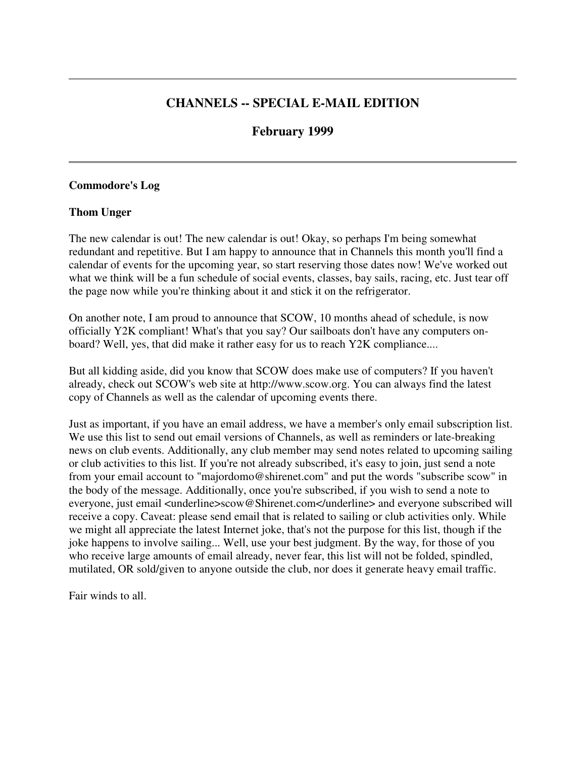# **CHANNELS -- SPECIAL E-MAIL EDITION**

# **February 1999**

#### **Commodore's Log**

#### **Thom Unger**

The new calendar is out! The new calendar is out! Okay, so perhaps I'm being somewhat redundant and repetitive. But I am happy to announce that in Channels this month you'll find a calendar of events for the upcoming year, so start reserving those dates now! We've worked out what we think will be a fun schedule of social events, classes, bay sails, racing, etc. Just tear off the page now while you're thinking about it and stick it on the refrigerator.

On another note, I am proud to announce that SCOW, 10 months ahead of schedule, is now officially Y2K compliant! What's that you say? Our sailboats don't have any computers onboard? Well, yes, that did make it rather easy for us to reach Y2K compliance....

But all kidding aside, did you know that SCOW does make use of computers? If you haven't already, check out SCOW's web site at http://www.scow.org. You can always find the latest copy of Channels as well as the calendar of upcoming events there.

Just as important, if you have an email address, we have a member's only email subscription list. We use this list to send out email versions of Channels, as well as reminders or late-breaking news on club events. Additionally, any club member may send notes related to upcoming sailing or club activities to this list. If you're not already subscribed, it's easy to join, just send a note from your email account to "majordomo@shirenet.com" and put the words "subscribe scow" in the body of the message. Additionally, once you're subscribed, if you wish to send a note to everyone, just email <underline>scow@Shirenet.com</underline> and everyone subscribed will receive a copy. Caveat: please send email that is related to sailing or club activities only. While we might all appreciate the latest Internet joke, that's not the purpose for this list, though if the joke happens to involve sailing... Well, use your best judgment. By the way, for those of you who receive large amounts of email already, never fear, this list will not be folded, spindled, mutilated, OR sold/given to anyone outside the club, nor does it generate heavy email traffic.

Fair winds to all.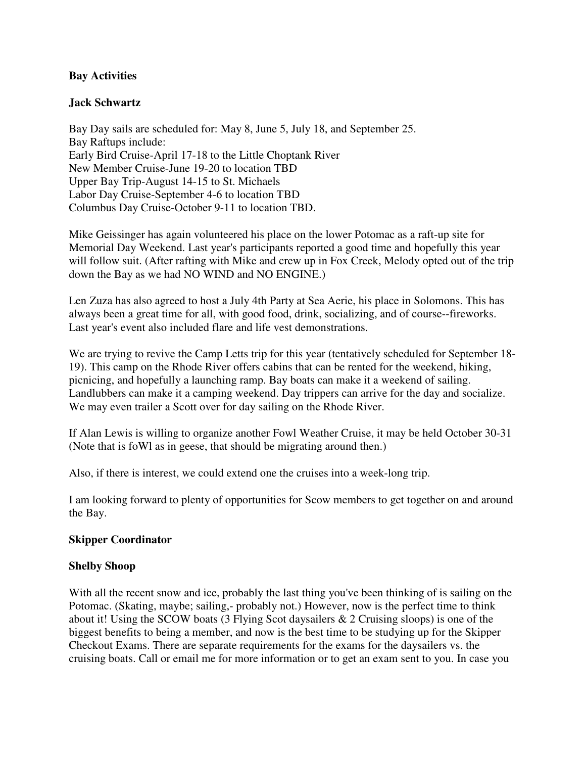## **Bay Activities**

## **Jack Schwartz**

Bay Day sails are scheduled for: May 8, June 5, July 18, and September 25. Bay Raftups include: Early Bird Cruise-April 17-18 to the Little Choptank River New Member Cruise-June 19-20 to location TBD Upper Bay Trip-August 14-15 to St. Michaels Labor Day Cruise-September 4-6 to location TBD Columbus Day Cruise-October 9-11 to location TBD.

Mike Geissinger has again volunteered his place on the lower Potomac as a raft-up site for Memorial Day Weekend. Last year's participants reported a good time and hopefully this year will follow suit. (After rafting with Mike and crew up in Fox Creek, Melody opted out of the trip down the Bay as we had NO WIND and NO ENGINE.)

Len Zuza has also agreed to host a July 4th Party at Sea Aerie, his place in Solomons. This has always been a great time for all, with good food, drink, socializing, and of course--fireworks. Last year's event also included flare and life vest demonstrations.

We are trying to revive the Camp Letts trip for this year (tentatively scheduled for September 18- 19). This camp on the Rhode River offers cabins that can be rented for the weekend, hiking, picnicing, and hopefully a launching ramp. Bay boats can make it a weekend of sailing. Landlubbers can make it a camping weekend. Day trippers can arrive for the day and socialize. We may even trailer a Scott over for day sailing on the Rhode River.

If Alan Lewis is willing to organize another Fowl Weather Cruise, it may be held October 30-31 (Note that is foWl as in geese, that should be migrating around then.)

Also, if there is interest, we could extend one the cruises into a week-long trip.

I am looking forward to plenty of opportunities for Scow members to get together on and around the Bay.

#### **Skipper Coordinator**

#### **Shelby Shoop**

With all the recent snow and ice, probably the last thing you've been thinking of is sailing on the Potomac. (Skating, maybe; sailing,- probably not.) However, now is the perfect time to think about it! Using the SCOW boats (3 Flying Scot daysailers & 2 Cruising sloops) is one of the biggest benefits to being a member, and now is the best time to be studying up for the Skipper Checkout Exams. There are separate requirements for the exams for the daysailers vs. the cruising boats. Call or email me for more information or to get an exam sent to you. In case you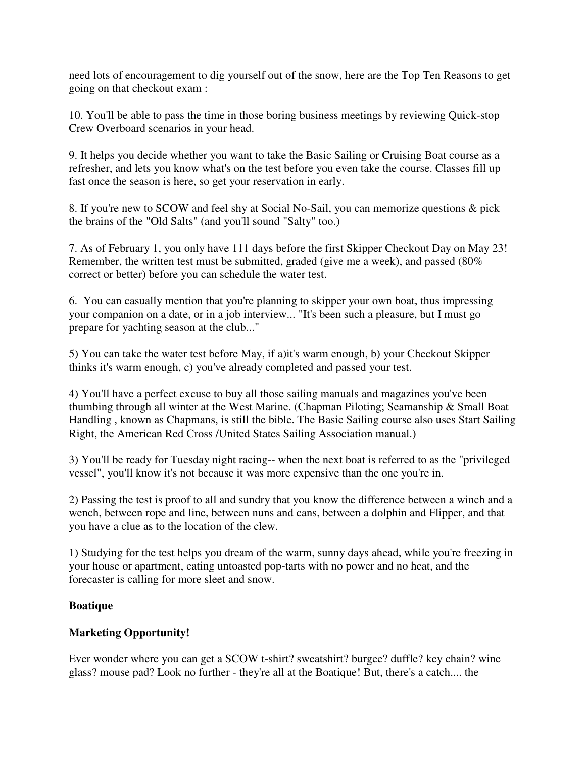need lots of encouragement to dig yourself out of the snow, here are the Top Ten Reasons to get going on that checkout exam :

10. You'll be able to pass the time in those boring business meetings by reviewing Quick-stop Crew Overboard scenarios in your head.

9. It helps you decide whether you want to take the Basic Sailing or Cruising Boat course as a refresher, and lets you know what's on the test before you even take the course. Classes fill up fast once the season is here, so get your reservation in early.

8. If you're new to SCOW and feel shy at Social No-Sail, you can memorize questions & pick the brains of the "Old Salts" (and you'll sound "Salty" too.)

7. As of February 1, you only have 111 days before the first Skipper Checkout Day on May 23! Remember, the written test must be submitted, graded (give me a week), and passed (80% correct or better) before you can schedule the water test.

6. You can casually mention that you're planning to skipper your own boat, thus impressing your companion on a date, or in a job interview... "It's been such a pleasure, but I must go prepare for yachting season at the club..."

5) You can take the water test before May, if a)it's warm enough, b) your Checkout Skipper thinks it's warm enough, c) you've already completed and passed your test.

4) You'll have a perfect excuse to buy all those sailing manuals and magazines you've been thumbing through all winter at the West Marine. (Chapman Piloting; Seamanship & Small Boat Handling , known as Chapmans, is still the bible. The Basic Sailing course also uses Start Sailing Right, the American Red Cross /United States Sailing Association manual.)

3) You'll be ready for Tuesday night racing-- when the next boat is referred to as the "privileged vessel", you'll know it's not because it was more expensive than the one you're in.

2) Passing the test is proof to all and sundry that you know the difference between a winch and a wench, between rope and line, between nuns and cans, between a dolphin and Flipper, and that you have a clue as to the location of the clew.

1) Studying for the test helps you dream of the warm, sunny days ahead, while you're freezing in your house or apartment, eating untoasted pop-tarts with no power and no heat, and the forecaster is calling for more sleet and snow.

# **Boatique**

# **Marketing Opportunity!**

Ever wonder where you can get a SCOW t-shirt? sweatshirt? burgee? duffle? key chain? wine glass? mouse pad? Look no further - they're all at the Boatique! But, there's a catch.... the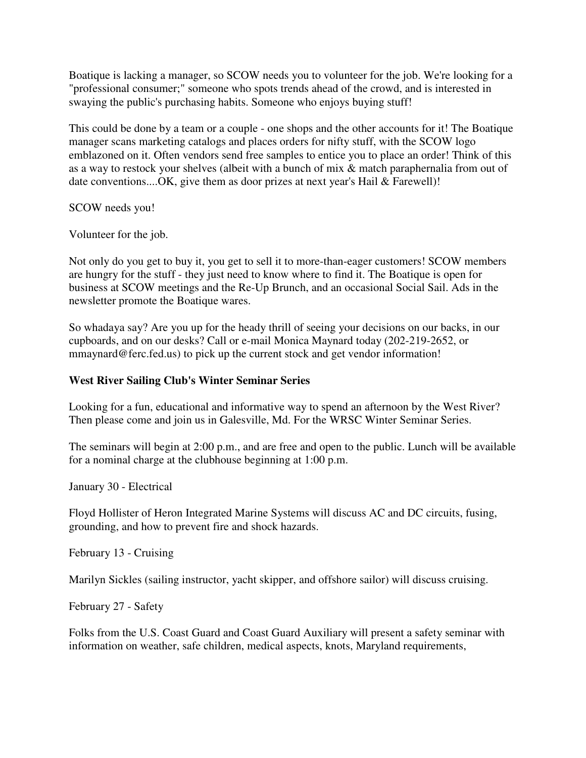Boatique is lacking a manager, so SCOW needs you to volunteer for the job. We're looking for a "professional consumer;" someone who spots trends ahead of the crowd, and is interested in swaying the public's purchasing habits. Someone who enjoys buying stuff!

This could be done by a team or a couple - one shops and the other accounts for it! The Boatique manager scans marketing catalogs and places orders for nifty stuff, with the SCOW logo emblazoned on it. Often vendors send free samples to entice you to place an order! Think of this as a way to restock your shelves (albeit with a bunch of mix & match paraphernalia from out of date conventions....OK, give them as door prizes at next year's Hail & Farewell)!

SCOW needs you!

Volunteer for the job.

Not only do you get to buy it, you get to sell it to more-than-eager customers! SCOW members are hungry for the stuff - they just need to know where to find it. The Boatique is open for business at SCOW meetings and the Re-Up Brunch, and an occasional Social Sail. Ads in the newsletter promote the Boatique wares.

So whadaya say? Are you up for the heady thrill of seeing your decisions on our backs, in our cupboards, and on our desks? Call or e-mail Monica Maynard today (202-219-2652, or mmaynard@ferc.fed.us) to pick up the current stock and get vendor information!

## **West River Sailing Club's Winter Seminar Series**

Looking for a fun, educational and informative way to spend an afternoon by the West River? Then please come and join us in Galesville, Md. For the WRSC Winter Seminar Series.

The seminars will begin at 2:00 p.m., and are free and open to the public. Lunch will be available for a nominal charge at the clubhouse beginning at 1:00 p.m.

January 30 - Electrical

Floyd Hollister of Heron Integrated Marine Systems will discuss AC and DC circuits, fusing, grounding, and how to prevent fire and shock hazards.

February 13 - Cruising

Marilyn Sickles (sailing instructor, yacht skipper, and offshore sailor) will discuss cruising.

February 27 - Safety

Folks from the U.S. Coast Guard and Coast Guard Auxiliary will present a safety seminar with information on weather, safe children, medical aspects, knots, Maryland requirements,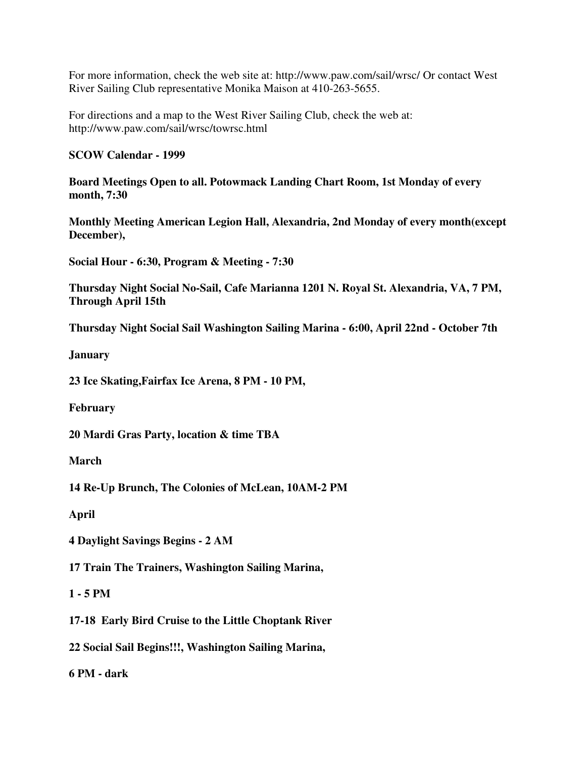For more information, check the web site at: http://www.paw.com/sail/wrsc/ Or contact West River Sailing Club representative Monika Maison at 410-263-5655.

For directions and a map to the West River Sailing Club, check the web at: http://www.paw.com/sail/wrsc/towrsc.html

## **SCOW Calendar - 1999**

**Board Meetings Open to all. Potowmack Landing Chart Room, 1st Monday of every month, 7:30**

**Monthly Meeting American Legion Hall, Alexandria, 2nd Monday of every month(except December),**

**Social Hour - 6:30, Program & Meeting - 7:30**

**Thursday Night Social No-Sail, Cafe Marianna 1201 N. Royal St. Alexandria, VA, 7 PM, Through April 15th**

**Thursday Night Social Sail Washington Sailing Marina - 6:00, April 22nd - October 7th**

**January**

**23 Ice Skating,Fairfax Ice Arena, 8 PM - 10 PM,**

**February**

**20 Mardi Gras Party, location & time TBA**

**March**

**14 Re-Up Brunch, The Colonies of McLean, 10AM-2 PM**

**April**

**4 Daylight Savings Begins - 2 AM**

**17 Train The Trainers, Washington Sailing Marina,**

# **1 - 5 PM**

**17-18 Early Bird Cruise to the Little Choptank River**

**22 Social Sail Begins!!!, Washington Sailing Marina,**

**6 PM - dark**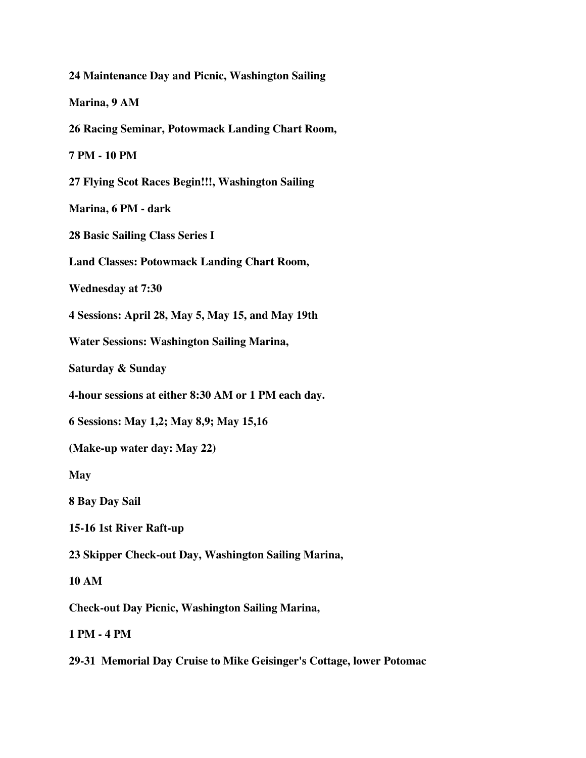**24 Maintenance Day and Picnic, Washington Sailing Marina, 9 AM 26 Racing Seminar, Potowmack Landing Chart Room, 7 PM - 10 PM 27 Flying Scot Races Begin!!!, Washington Sailing Marina, 6 PM - dark 28 Basic Sailing Class Series I Land Classes: Potowmack Landing Chart Room, Wednesday at 7:30 4 Sessions: April 28, May 5, May 15, and May 19th Water Sessions: Washington Sailing Marina, Saturday & Sunday 4-hour sessions at either 8:30 AM or 1 PM each day. 6 Sessions: May 1,2; May 8,9; May 15,16 (Make-up water day: May 22) May 8 Bay Day Sail 15-16 1st River Raft-up 23 Skipper Check-out Day, Washington Sailing Marina, 10 AM Check-out Day Picnic, Washington Sailing Marina, 1 PM - 4 PM**

**29-31 Memorial Day Cruise to Mike Geisinger's Cottage, lower Potomac**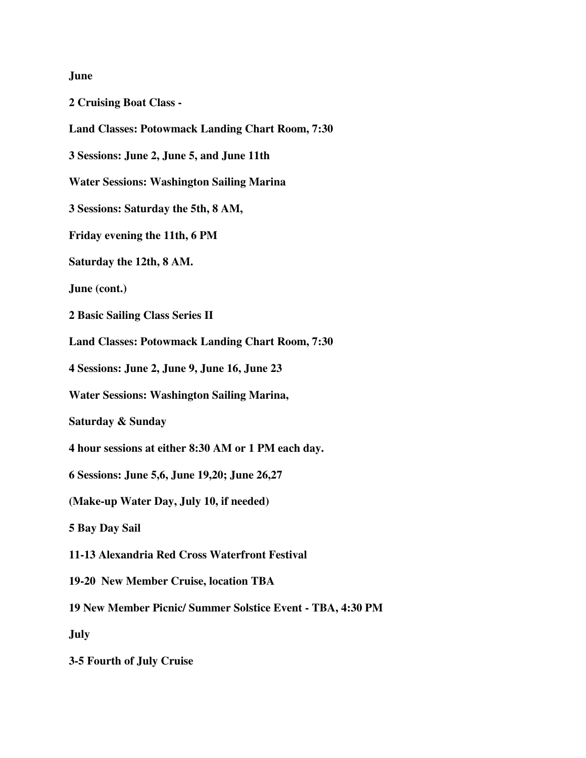# **June**

| <b>2 Cruising Boat Class -</b>                             |
|------------------------------------------------------------|
| <b>Land Classes: Potowmack Landing Chart Room, 7:30</b>    |
| 3 Sessions: June 2, June 5, and June 11th                  |
| <b>Water Sessions: Washington Sailing Marina</b>           |
| 3 Sessions: Saturday the 5th, 8 AM,                        |
| Friday evening the 11th, 6 PM                              |
| Saturday the 12th, 8 AM.                                   |
| June (cont.)                                               |
| 2 Basic Sailing Class Series II                            |
| <b>Land Classes: Potowmack Landing Chart Room, 7:30</b>    |
| 4 Sessions: June 2, June 9, June 16, June 23               |
| <b>Water Sessions: Washington Sailing Marina,</b>          |
| Saturday & Sunday                                          |
| 4 hour sessions at either 8:30 AM or 1 PM each day.        |
| 6 Sessions: June 5,6, June 19, 20; June 26, 27             |
| (Make-up Water Day, July 10, if needed)                    |
| 5 Bay Day Sail                                             |
| 11-13 Alexandria Red Cross Waterfront Festival             |
| 19-20 New Member Cruise, location TBA                      |
| 19 New Member Picnic/ Summer Solstice Event - TBA, 4:30 PM |
| <b>July</b>                                                |
| 3-5 Fourth of July Cruise                                  |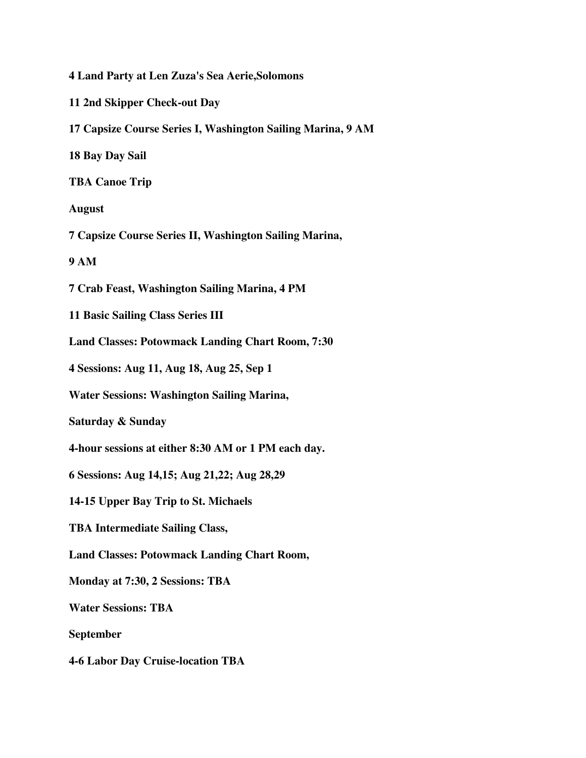**4 Land Party at Len Zuza's Sea Aerie,Solomons 11 2nd Skipper Check-out Day 17 Capsize Course Series I, Washington Sailing Marina, 9 AM 18 Bay Day Sail TBA Canoe Trip August 7 Capsize Course Series II, Washington Sailing Marina, 9 AM 7 Crab Feast, Washington Sailing Marina, 4 PM 11 Basic Sailing Class Series III Land Classes: Potowmack Landing Chart Room, 7:30 4 Sessions: Aug 11, Aug 18, Aug 25, Sep 1 Water Sessions: Washington Sailing Marina, Saturday & Sunday 4-hour sessions at either 8:30 AM or 1 PM each day. 6 Sessions: Aug 14,15; Aug 21,22; Aug 28,29 14-15 Upper Bay Trip to St. Michaels TBA Intermediate Sailing Class, Land Classes: Potowmack Landing Chart Room, Monday at 7:30, 2 Sessions: TBA Water Sessions: TBA September 4-6 Labor Day Cruise-location TBA**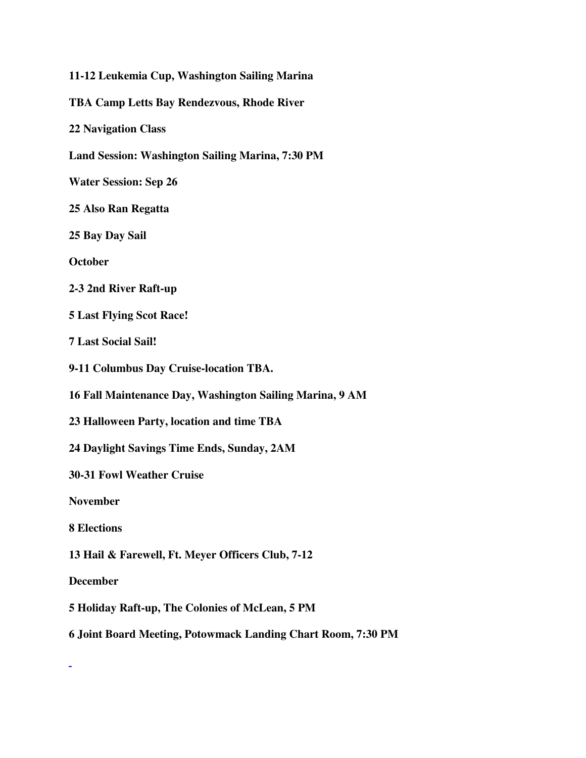**11-12 Leukemia Cup, Washington Sailing Marina TBA Camp Letts Bay Rendezvous, Rhode River 22 Navigation Class Land Session: Washington Sailing Marina, 7:30 PM Water Session: Sep 26 25 Also Ran Regatta 25 Bay Day Sail October 2-3 2nd River Raft-up 5 Last Flying Scot Race! 7 Last Social Sail! 9-11 Columbus Day Cruise-location TBA. 16 Fall Maintenance Day, Washington Sailing Marina, 9 AM 23 Halloween Party, location and time TBA 24 Daylight Savings Time Ends, Sunday, 2AM 30-31 Fowl Weather Cruise November 8 Elections 13 Hail & Farewell, Ft. Meyer Officers Club, 7-12 December 5 Holiday Raft-up, The Colonies of McLean, 5 PM 6 Joint Board Meeting, Potowmack Landing Chart Room, 7:30 PM**